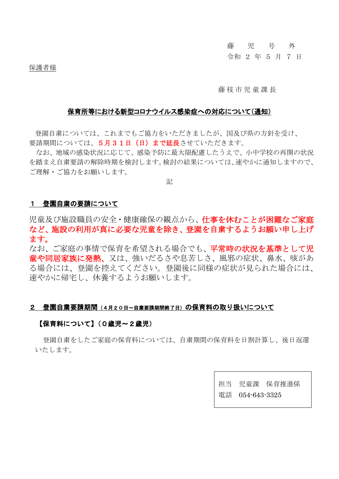#### 藤 児 号 外

## 令和 2 年 5 月 7 日

#### 藤枝市児童課長

#### 保育所等における新型コロナウイルス感染症への対応について(通知)

登園自粛については、これまでもご協力をいただきましたが、国及び県の方針を受け、 要請期間については、5月31日(日)まで延長させていただきます。

なお、地域の感染状況に応じて、感染予防に最大限配慮したうえで、小中学校の再開の状況 を踏まえ自粛要請の解除時期を検討します。検討の結果については、速やかに通知しますので、 ご理解・ご協力をお願いします。

記

#### 1 登園自粛の要請について

児童及び施設職員の安全・健康確保の観点から、仕事を休むことが困難なご家庭 など、施設の利用が真に必要な児童を除き、登園を自粛するようお願い申し上げ ます。

なお、ご家庭の事情で保育を希望される場合でも、平常時の状況を基準として児 音や同居家族に発熱、又は、強いだるさや息苦しさ、風邪の症状、鼻水、咳があ る場合には、登園を控えてください。登園後に同様の症状が見られた場合には、 速やかに帰宅し、休養するようお願いします。

## 2 登園自粛要請期間(4月20日~自粛要請期間終了日)の保育料の取り扱いについて

## 【保育料について】(0歳児~2歳児)

 登園自粛をしたご家庭の保育料については、自粛期間の保育料を日割計算し、後日返還 いたします。

> 担当 児童課 保育推進係 電話 054-643-3325